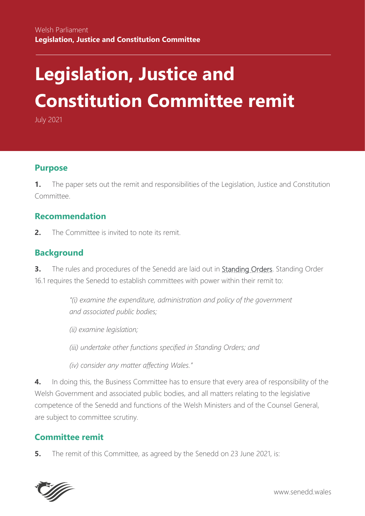# **Legislation, Justice and Constitution Committee remit**

July 2021

# **Purpose**

**1.** The paper sets out the remit and responsibilities of the Legislation, Justice and Constitution Committee.

# **Recommendation**

**2.** The Committee is invited to note its remit.

# **Background**

**3.** The rules and procedures of the Senedd are laid out in **Standing Orders**. Standing Order 16.1 requires the Senedd to establish committees with power within their remit to:

> *"(i) examine the expenditure, administration and policy of the government and associated public bodies;*

- *(ii) examine legislation;*
- *(iii) undertake other functions specified in Standing Orders; and*
- *(iv) consider any matter affecting Wales."*

**4.** In doing this, the Business Committee has to ensure that every area of responsibility of the Welsh Government and associated public bodies, and all matters relating to the legislative competence of the Senedd and functions of the Welsh Ministers and of the Counsel General, are subject to committee scrutiny.

# **Committee remit**

**5.** The remit of this Committee, as agreed by the Senedd on 23 June 2021, is:

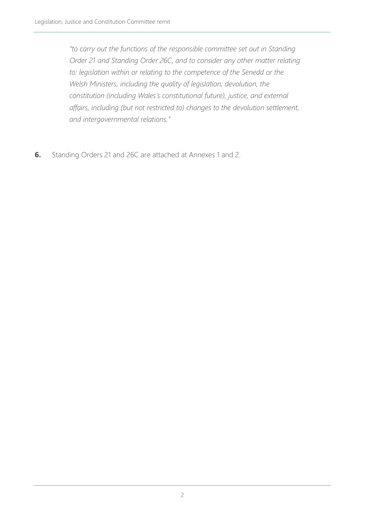*"to carry out the functions of the responsible committee set out in Standing Order 21 and Standing Order 26C, and to consider any other matter relating to: legislation within or relating to the competence of the Senedd or the Welsh Ministers, including the quality of legislation; devolution, the constitution (including Wales's constitutional future), justice, and external affairs, including (but not restricted to) changes to the devolution settlement, and intergovernmental relations."*

**6.** Standing Orders 21 and 26C are attached at Annexes 1 and 2.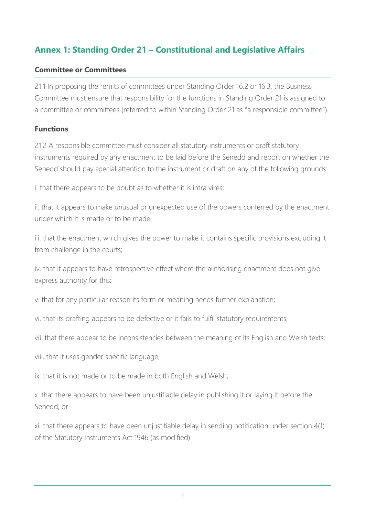# **Annex 1: Standing Order 21 – Constitutional and Legislative Affairs**

#### **Committee or Committees**

21.1 In proposing the remits of committees under Standing Order 16.2 or 16.3, the Business Committee must ensure that responsibility for the functions in Standing Order 21 is assigned to a committee or committees (referred to within Standing Order 21 as "a responsible committee").

#### **Functions**

21.2 A responsible committee must consider all statutory instruments or draft statutory instruments required by any enactment to be laid before the Senedd and report on whether the Senedd should pay special attention to the instrument or draft on any of the following grounds:

i. that there appears to be doubt as to whether it is intra vires;

ii. that it appears to make unusual or unexpected use of the powers conferred by the enactment under which it is made or to be made;

iii. that the enactment which gives the power to make it contains specific provisions excluding it from challenge in the courts;

iv. that it appears to have retrospective effect where the authorising enactment does not give express authority for this;

v. that for any particular reason its form or meaning needs further explanation;

vi. that its drafting appears to be defective or it fails to fulfil statutory requirements;

vii. that there appear to be inconsistencies between the meaning of its English and Welsh texts;

viii. that it uses gender specific language;

ix. that it is not made or to be made in both English and Welsh;

x. that there appears to have been unjustifiable delay in publishing it or laying it before the Senedd; or

xi. that there appears to have been unjustifiable delay in sending notification under section 4(1) of the Statutory Instruments Act 1946 (as modified).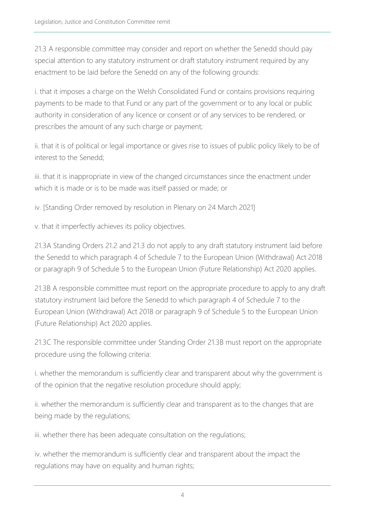21.3 A responsible committee may consider and report on whether the Senedd should pay special attention to any statutory instrument or draft statutory instrument required by any enactment to be laid before the Senedd on any of the following grounds:

i. that it imposes a charge on the Welsh Consolidated Fund or contains provisions requiring payments to be made to that Fund or any part of the government or to any local or public authority in consideration of any licence or consent or of any services to be rendered, or prescribes the amount of any such charge or payment;

ii. that it is of political or legal importance or gives rise to issues of public policy likely to be of interest to the Senedd;

iii. that it is inappropriate in view of the changed circumstances since the enactment under which it is made or is to be made was itself passed or made; or

iv. [Standing Order removed by resolution in Plenary on 24 March 2021]

v. that it imperfectly achieves its policy objectives.

21.3A Standing Orders 21.2 and 21.3 do not apply to any draft statutory instrument laid before the Senedd to which paragraph 4 of Schedule 7 to the European Union (Withdrawal) Act 2018 or paragraph 9 of Schedule 5 to the European Union (Future Relationship) Act 2020 applies.

21.3B A responsible committee must report on the appropriate procedure to apply to any draft statutory instrument laid before the Senedd to which paragraph 4 of Schedule 7 to the European Union (Withdrawal) Act 2018 or paragraph 9 of Schedule 5 to the European Union (Future Relationship) Act 2020 applies.

21.3C The responsible committee under Standing Order 21.3B must report on the appropriate procedure using the following criteria:

i. whether the memorandum is sufficiently clear and transparent about why the government is of the opinion that the negative resolution procedure should apply;

ii. whether the memorandum is sufficiently clear and transparent as to the changes that are being made by the regulations;

iii. whether there has been adequate consultation on the regulations;

iv. whether the memorandum is sufficiently clear and transparent about the impact the regulations may have on equality and human rights;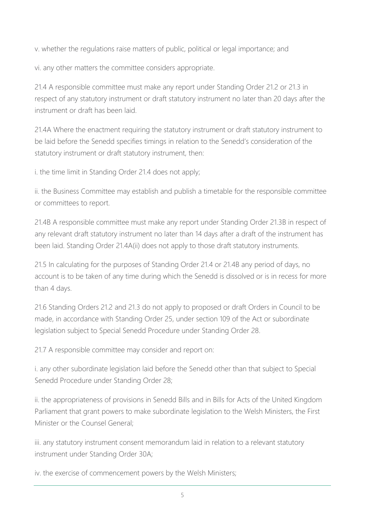v. whether the regulations raise matters of public, political or legal importance; and

vi. any other matters the committee considers appropriate.

21.4 A responsible committee must make any report under Standing Order 21.2 or 21.3 in respect of any statutory instrument or draft statutory instrument no later than 20 days after the instrument or draft has been laid.

21.4A Where the enactment requiring the statutory instrument or draft statutory instrument to be laid before the Senedd specifies timings in relation to the Senedd's consideration of the statutory instrument or draft statutory instrument, then:

i. the time limit in Standing Order 21.4 does not apply;

ii. the Business Committee may establish and publish a timetable for the responsible committee or committees to report.

21.4B A responsible committee must make any report under Standing Order 21.3B in respect of any relevant draft statutory instrument no later than 14 days after a draft of the instrument has been laid. Standing Order 21.4A(ii) does not apply to those draft statutory instruments.

21.5 In calculating for the purposes of Standing Order 21.4 or 21.4B any period of days, no account is to be taken of any time during which the Senedd is dissolved or is in recess for more than 4 days.

21.6 Standing Orders 21.2 and 21.3 do not apply to proposed or draft Orders in Council to be made, in accordance with Standing Order 25, under section 109 of the Act or subordinate legislation subject to Special Senedd Procedure under Standing Order 28.

21.7 A responsible committee may consider and report on:

i. any other subordinate legislation laid before the Senedd other than that subject to Special Senedd Procedure under Standing Order 28;

ii. the appropriateness of provisions in Senedd Bills and in Bills for Acts of the United Kingdom Parliament that grant powers to make subordinate legislation to the Welsh Ministers, the First Minister or the Counsel General;

iii. any statutory instrument consent memorandum laid in relation to a relevant statutory instrument under Standing Order 30A;

iv. the exercise of commencement powers by the Welsh Ministers;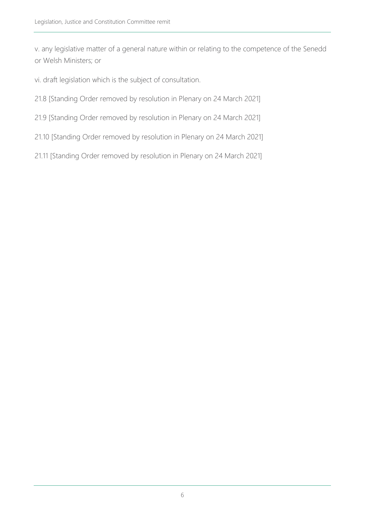v. any legislative matter of a general nature within or relating to the competence of the Senedd or Welsh Ministers; or

vi. draft legislation which is the subject of consultation.

21.8 [Standing Order removed by resolution in Plenary on 24 March 2021]

- 21.9 [Standing Order removed by resolution in Plenary on 24 March 2021]
- 21.10 [Standing Order removed by resolution in Plenary on 24 March 2021]
- 21.11 [Standing Order removed by resolution in Plenary on 24 March 2021]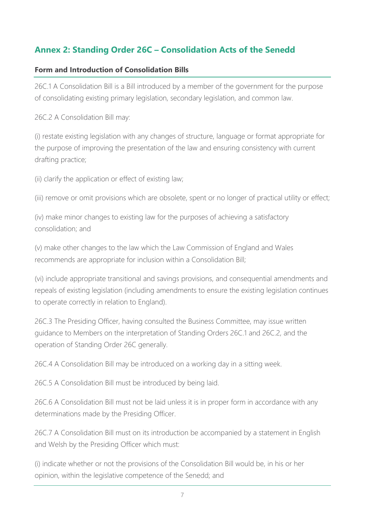# **Annex 2: Standing Order 26C – Consolidation Acts of the Senedd**

#### **Form and Introduction of Consolidation Bills**

26C.1 A Consolidation Bill is a Bill introduced by a member of the government for the purpose of consolidating existing primary legislation, secondary legislation, and common law.

26C.2 A Consolidation Bill may:

(i) restate existing legislation with any changes of structure, language or format appropriate for the purpose of improving the presentation of the law and ensuring consistency with current drafting practice;

(ii) clarify the application or effect of existing law;

(iii) remove or omit provisions which are obsolete, spent or no longer of practical utility or effect;

(iv) make minor changes to existing law for the purposes of achieving a satisfactory consolidation; and

(v) make other changes to the law which the Law Commission of England and Wales recommends are appropriate for inclusion within a Consolidation Bill;

(vi) include appropriate transitional and savings provisions, and consequential amendments and repeals of existing legislation (including amendments to ensure the existing legislation continues to operate correctly in relation to England).

26C.3 The Presiding Officer, having consulted the Business Committee, may issue written guidance to Members on the interpretation of Standing Orders 26C.1 and 26C.2, and the operation of Standing Order 26C generally.

26C.4 A Consolidation Bill may be introduced on a working day in a sitting week.

26C.5 A Consolidation Bill must be introduced by being laid.

26C.6 A Consolidation Bill must not be laid unless it is in proper form in accordance with any determinations made by the Presiding Officer.

26C.7 A Consolidation Bill must on its introduction be accompanied by a statement in English and Welsh by the Presiding Officer which must:

(i) indicate whether or not the provisions of the Consolidation Bill would be, in his or her opinion, within the legislative competence of the Senedd; and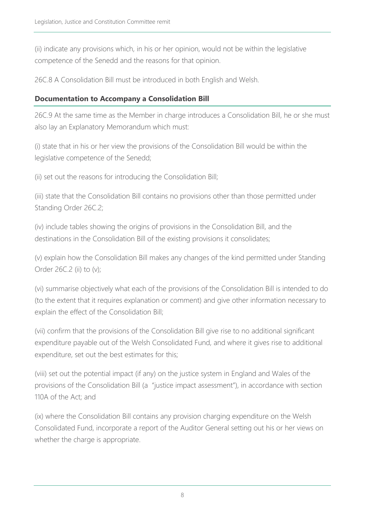(ii) indicate any provisions which, in his or her opinion, would not be within the legislative competence of the Senedd and the reasons for that opinion.

26C.8 A Consolidation Bill must be introduced in both English and Welsh.

#### **Documentation to Accompany a Consolidation Bill**

26C.9 At the same time as the Member in charge introduces a Consolidation Bill, he or she must also lay an Explanatory Memorandum which must:

(i) state that in his or her view the provisions of the Consolidation Bill would be within the legislative competence of the Senedd;

(ii) set out the reasons for introducing the Consolidation Bill;

(iii) state that the Consolidation Bill contains no provisions other than those permitted under Standing Order 26C.2;

(iv) include tables showing the origins of provisions in the Consolidation Bill, and the destinations in the Consolidation Bill of the existing provisions it consolidates;

(v) explain how the Consolidation Bill makes any changes of the kind permitted under Standing Order 26C.2 (ii) to (v);

(vi) summarise objectively what each of the provisions of the Consolidation Bill is intended to do (to the extent that it requires explanation or comment) and give other information necessary to explain the effect of the Consolidation Bill;

(vii) confirm that the provisions of the Consolidation Bill give rise to no additional significant expenditure payable out of the Welsh Consolidated Fund, and where it gives rise to additional expenditure, set out the best estimates for this;

(viii) set out the potential impact (if any) on the justice system in England and Wales of the provisions of the Consolidation Bill (a "justice impact assessment"), in accordance with section 110A of the Act; and

(ix) where the Consolidation Bill contains any provision charging expenditure on the Welsh Consolidated Fund, incorporate a report of the Auditor General setting out his or her views on whether the charge is appropriate.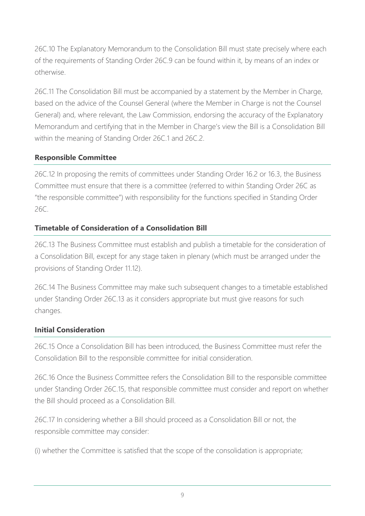26C.10 The Explanatory Memorandum to the Consolidation Bill must state precisely where each of the requirements of Standing Order 26C.9 can be found within it, by means of an index or otherwise.

26C.11 The Consolidation Bill must be accompanied by a statement by the Member in Charge, based on the advice of the Counsel General (where the Member in Charge is not the Counsel General) and, where relevant, the Law Commission, endorsing the accuracy of the Explanatory Memorandum and certifying that in the Member in Charge's view the Bill is a Consolidation Bill within the meaning of Standing Order 26C.1 and 26C.2.

# **Responsible Committee**

26C.12 In proposing the remits of committees under Standing Order 16.2 or 16.3, the Business Committee must ensure that there is a committee (referred to within Standing Order 26C as "the responsible committee") with responsibility for the functions specified in Standing Order 26C.

# **Timetable of Consideration of a Consolidation Bill**

26C.13 The Business Committee must establish and publish a timetable for the consideration of a Consolidation Bill, except for any stage taken in plenary (which must be arranged under the provisions of Standing Order 11.12).

26C.14 The Business Committee may make such subsequent changes to a timetable established under Standing Order 26C.13 as it considers appropriate but must give reasons for such changes.

# **Initial Consideration**

26C.15 Once a Consolidation Bill has been introduced, the Business Committee must refer the Consolidation Bill to the responsible committee for initial consideration.

26C.16 Once the Business Committee refers the Consolidation Bill to the responsible committee under Standing Order 26C.15, that responsible committee must consider and report on whether the Bill should proceed as a Consolidation Bill.

26C.17 In considering whether a Bill should proceed as a Consolidation Bill or not, the responsible committee may consider:

(i) whether the Committee is satisfied that the scope of the consolidation is appropriate;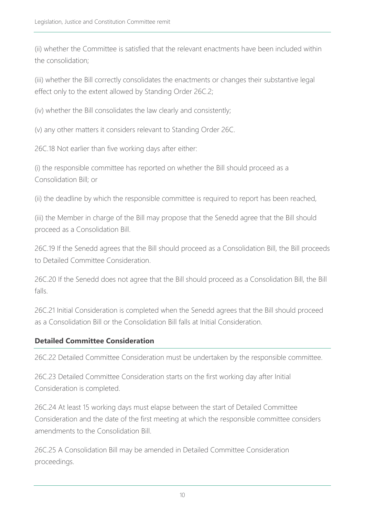(ii) whether the Committee is satisfied that the relevant enactments have been included within the consolidation;

(iii) whether the Bill correctly consolidates the enactments or changes their substantive legal effect only to the extent allowed by Standing Order 26C.2;

(iv) whether the Bill consolidates the law clearly and consistently;

(v) any other matters it considers relevant to Standing Order 26C.

26C.18 Not earlier than five working days after either:

(i) the responsible committee has reported on whether the Bill should proceed as a Consolidation Bill; or

(ii) the deadline by which the responsible committee is required to report has been reached,

(iii) the Member in charge of the Bill may propose that the Senedd agree that the Bill should proceed as a Consolidation Bill.

26C.19 If the Senedd agrees that the Bill should proceed as a Consolidation Bill, the Bill proceeds to Detailed Committee Consideration.

26C.20 If the Senedd does not agree that the Bill should proceed as a Consolidation Bill, the Bill falls.

26C.21 Initial Consideration is completed when the Senedd agrees that the Bill should proceed as a Consolidation Bill or the Consolidation Bill falls at Initial Consideration.

## **Detailed Committee Consideration**

26C.22 Detailed Committee Consideration must be undertaken by the responsible committee.

26C.23 Detailed Committee Consideration starts on the first working day after Initial Consideration is completed.

26C.24 At least 15 working days must elapse between the start of Detailed Committee Consideration and the date of the first meeting at which the responsible committee considers amendments to the Consolidation Bill.

26C.25 A Consolidation Bill may be amended in Detailed Committee Consideration proceedings.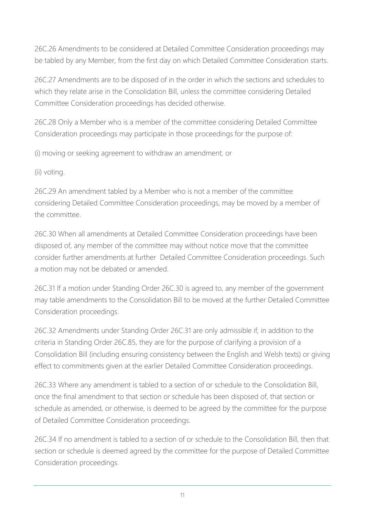26C.26 Amendments to be considered at Detailed Committee Consideration proceedings may be tabled by any Member, from the first day on which Detailed Committee Consideration starts.

26C.27 Amendments are to be disposed of in the order in which the sections and schedules to which they relate arise in the Consolidation Bill, unless the committee considering Detailed Committee Consideration proceedings has decided otherwise.

26C.28 Only a Member who is a member of the committee considering Detailed Committee Consideration proceedings may participate in those proceedings for the purpose of:

(i) moving or seeking agreement to withdraw an amendment; or

(ii) voting.

26C.29 An amendment tabled by a Member who is not a member of the committee considering Detailed Committee Consideration proceedings, may be moved by a member of the committee.

26C.30 When all amendments at Detailed Committee Consideration proceedings have been disposed of, any member of the committee may without notice move that the committee consider further amendments at further Detailed Committee Consideration proceedings. Such a motion may not be debated or amended.

26C.31 If a motion under Standing Order 26C.30 is agreed to, any member of the government may table amendments to the Consolidation Bill to be moved at the further Detailed Committee Consideration proceedings.

26C.32 Amendments under Standing Order 26C.31 are only admissible if, in addition to the criteria in Standing Order 26C.85, they are for the purpose of clarifying a provision of a Consolidation Bill (including ensuring consistency between the English and Welsh texts) or giving effect to commitments given at the earlier Detailed Committee Consideration proceedings.

26C.33 Where any amendment is tabled to a section of or schedule to the Consolidation Bill, once the final amendment to that section or schedule has been disposed of, that section or schedule as amended, or otherwise, is deemed to be agreed by the committee for the purpose of Detailed Committee Consideration proceedings.

26C.34 If no amendment is tabled to a section of or schedule to the Consolidation Bill, then that section or schedule is deemed agreed by the committee for the purpose of Detailed Committee Consideration proceedings.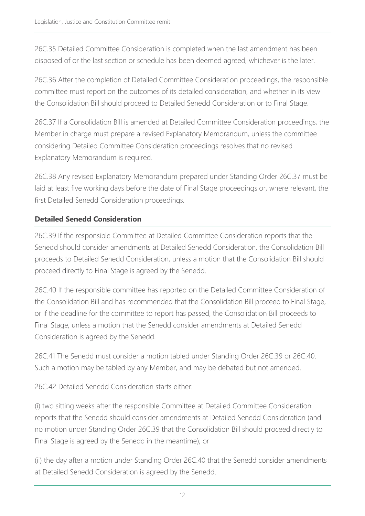26C.35 Detailed Committee Consideration is completed when the last amendment has been disposed of or the last section or schedule has been deemed agreed, whichever is the later.

26C.36 After the completion of Detailed Committee Consideration proceedings, the responsible committee must report on the outcomes of its detailed consideration, and whether in its view the Consolidation Bill should proceed to Detailed Senedd Consideration or to Final Stage.

26C.37 If a Consolidation Bill is amended at Detailed Committee Consideration proceedings, the Member in charge must prepare a revised Explanatory Memorandum, unless the committee considering Detailed Committee Consideration proceedings resolves that no revised Explanatory Memorandum is required.

26C.38 Any revised Explanatory Memorandum prepared under Standing Order 26C.37 must be laid at least five working days before the date of Final Stage proceedings or, where relevant, the first Detailed Senedd Consideration proceedings.

# **Detailed Senedd Consideration**

26C.39 If the responsible Committee at Detailed Committee Consideration reports that the Senedd should consider amendments at Detailed Senedd Consideration, the Consolidation Bill proceeds to Detailed Senedd Consideration, unless a motion that the Consolidation Bill should proceed directly to Final Stage is agreed by the Senedd.

26C.40 If the responsible committee has reported on the Detailed Committee Consideration of the Consolidation Bill and has recommended that the Consolidation Bill proceed to Final Stage, or if the deadline for the committee to report has passed, the Consolidation Bill proceeds to Final Stage, unless a motion that the Senedd consider amendments at Detailed Senedd Consideration is agreed by the Senedd.

26C.41 The Senedd must consider a motion tabled under Standing Order 26C.39 or 26C.40. Such a motion may be tabled by any Member, and may be debated but not amended.

26C.42 Detailed Senedd Consideration starts either:

(i) two sitting weeks after the responsible Committee at Detailed Committee Consideration reports that the Senedd should consider amendments at Detailed Senedd Consideration (and no motion under Standing Order 26C.39 that the Consolidation Bill should proceed directly to Final Stage is agreed by the Senedd in the meantime); or

(ii) the day after a motion under Standing Order 26C.40 that the Senedd consider amendments at Detailed Senedd Consideration is agreed by the Senedd.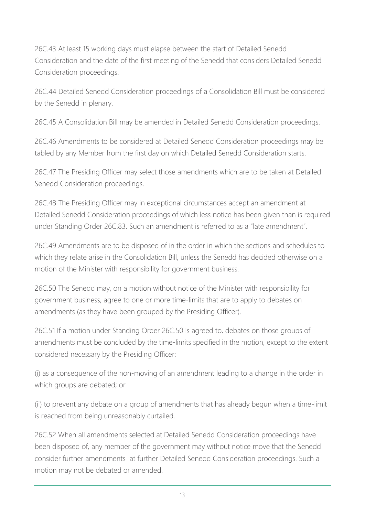26C.43 At least 15 working days must elapse between the start of Detailed Senedd Consideration and the date of the first meeting of the Senedd that considers Detailed Senedd Consideration proceedings.

26C.44 Detailed Senedd Consideration proceedings of a Consolidation Bill must be considered by the Senedd in plenary.

26C.45 A Consolidation Bill may be amended in Detailed Senedd Consideration proceedings.

26C.46 Amendments to be considered at Detailed Senedd Consideration proceedings may be tabled by any Member from the first day on which Detailed Senedd Consideration starts.

26C.47 The Presiding Officer may select those amendments which are to be taken at Detailed Senedd Consideration proceedings.

26C.48 The Presiding Officer may in exceptional circumstances accept an amendment at Detailed Senedd Consideration proceedings of which less notice has been given than is required under Standing Order 26C.83. Such an amendment is referred to as a "late amendment".

26C.49 Amendments are to be disposed of in the order in which the sections and schedules to which they relate arise in the Consolidation Bill, unless the Senedd has decided otherwise on a motion of the Minister with responsibility for government business.

26C.50 The Senedd may, on a motion without notice of the Minister with responsibility for government business, agree to one or more time-limits that are to apply to debates on amendments (as they have been grouped by the Presiding Officer).

26C.51 If a motion under Standing Order 26C.50 is agreed to, debates on those groups of amendments must be concluded by the time-limits specified in the motion, except to the extent considered necessary by the Presiding Officer:

(i) as a consequence of the non-moving of an amendment leading to a change in the order in which groups are debated; or

(ii) to prevent any debate on a group of amendments that has already begun when a time-limit is reached from being unreasonably curtailed.

26C.52 When all amendments selected at Detailed Senedd Consideration proceedings have been disposed of, any member of the government may without notice move that the Senedd consider further amendments at further Detailed Senedd Consideration proceedings. Such a motion may not be debated or amended.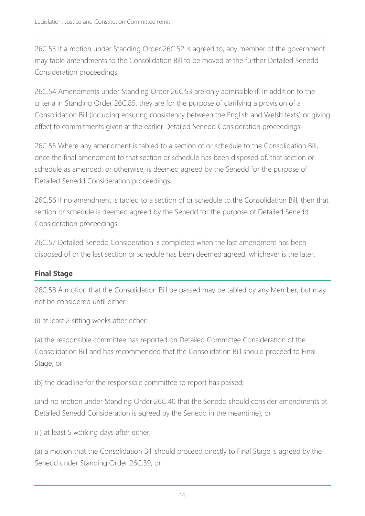26C.53 If a motion under Standing Order 26C.52 is agreed to, any member of the government may table amendments to the Consolidation Bill to be moved at the further Detailed Senedd Consideration proceedings.

26C.54 Amendments under Standing Order 26C.53 are only admissible if, in addition to the criteria in Standing Order 26C.85, they are for the purpose of clarifying a provision of a Consolidation Bill (including ensuring consistency between the English and Welsh texts) or giving effect to commitments given at the earlier Detailed Senedd Consideration proceedings.

26C.55 Where any amendment is tabled to a section of or schedule to the Consolidation Bill, once the final amendment to that section or schedule has been disposed of, that section or schedule as amended, or otherwise, is deemed agreed by the Senedd for the purpose of Detailed Senedd Consideration proceedings.

26C.56 If no amendment is tabled to a section of or schedule to the Consolidation Bill, then that section or schedule is deemed agreed by the Senedd for the purpose of Detailed Senedd Consideration proceedings.

26C.57 Detailed Senedd Consideration is completed when the last amendment has been disposed of or the last section or schedule has been deemed agreed, whichever is the later.

# **Final Stage**

26C.58 A motion that the Consolidation Bill be passed may be tabled by any Member, but may not be considered until either:

(i) at least 2 sitting weeks after either:

(a) the responsible committee has reported on Detailed Committee Consideration of the Consolidation Bill and has recommended that the Consolidation Bill should proceed to Final Stage; or

(b) the deadline for the responsible committee to report has passed;

(and no motion under Standing Order 26C.40 that the Senedd should consider amendments at Detailed Senedd Consideration is agreed by the Senedd in the meantime); or

(ii) at least 5 working days after either;

(a) a motion that the Consolidation Bill should proceed directly to Final Stage is agreed by the Senedd under Standing Order 26C.39; or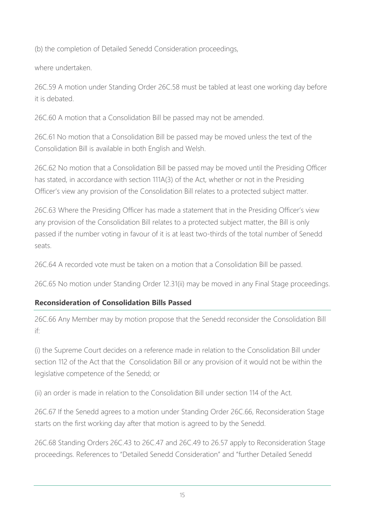(b) the completion of Detailed Senedd Consideration proceedings,

where undertaken.

26C.59 A motion under Standing Order 26C.58 must be tabled at least one working day before it is debated.

26C.60 A motion that a Consolidation Bill be passed may not be amended.

26C.61 No motion that a Consolidation Bill be passed may be moved unless the text of the Consolidation Bill is available in both English and Welsh.

26C.62 No motion that a Consolidation Bill be passed may be moved until the Presiding Officer has stated, in accordance with section 111A(3) of the Act, whether or not in the Presiding Officer's view any provision of the Consolidation Bill relates to a protected subject matter.

26C.63 Where the Presiding Officer has made a statement that in the Presiding Officer's view any provision of the Consolidation Bill relates to a protected subject matter, the Bill is only passed if the number voting in favour of it is at least two-thirds of the total number of Senedd seats.

26C.64 A recorded vote must be taken on a motion that a Consolidation Bill be passed.

26C.65 No motion under Standing Order 12.31(ii) may be moved in any Final Stage proceedings.

# **Reconsideration of Consolidation Bills Passed**

26C.66 Any Member may by motion propose that the Senedd reconsider the Consolidation Bill if:

(i) the Supreme Court decides on a reference made in relation to the Consolidation Bill under section 112 of the Act that the Consolidation Bill or any provision of it would not be within the legislative competence of the Senedd; or

(ii) an order is made in relation to the Consolidation Bill under section 114 of the Act.

26C.67 If the Senedd agrees to a motion under Standing Order 26C.66, Reconsideration Stage starts on the first working day after that motion is agreed to by the Senedd.

26C.68 Standing Orders 26C.43 to 26C.47 and 26C.49 to 26.57 apply to Reconsideration Stage proceedings. References to "Detailed Senedd Consideration" and "further Detailed Senedd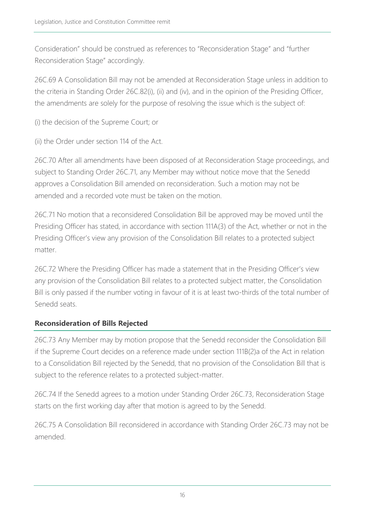Consideration" should be construed as references to "Reconsideration Stage" and "further Reconsideration Stage" accordingly.

26C.69 A Consolidation Bill may not be amended at Reconsideration Stage unless in addition to the criteria in Standing Order 26C.82(i), (ii) and (iv), and in the opinion of the Presiding Officer, the amendments are solely for the purpose of resolving the issue which is the subject of:

(i) the decision of the Supreme Court; or

(ii) the Order under section 114 of the Act.

26C.70 After all amendments have been disposed of at Reconsideration Stage proceedings, and subject to Standing Order 26C.71, any Member may without notice move that the Senedd approves a Consolidation Bill amended on reconsideration. Such a motion may not be amended and a recorded vote must be taken on the motion.

26C.71 No motion that a reconsidered Consolidation Bill be approved may be moved until the Presiding Officer has stated, in accordance with section 111A(3) of the Act, whether or not in the Presiding Officer's view any provision of the Consolidation Bill relates to a protected subject matter.

26C.72 Where the Presiding Officer has made a statement that in the Presiding Officer's view any provision of the Consolidation Bill relates to a protected subject matter, the Consolidation Bill is only passed if the number voting in favour of it is at least two-thirds of the total number of Senedd seats.

## **Reconsideration of Bills Rejected**

26C.73 Any Member may by motion propose that the Senedd reconsider the Consolidation Bill if the Supreme Court decides on a reference made under section 111B(2)a of the Act in relation to a Consolidation Bill rejected by the Senedd, that no provision of the Consolidation Bill that is subject to the reference relates to a protected subject-matter.

26C.74 If the Senedd agrees to a motion under Standing Order 26C.73, Reconsideration Stage starts on the first working day after that motion is agreed to by the Senedd.

26C.75 A Consolidation Bill reconsidered in accordance with Standing Order 26C.73 may not be amended.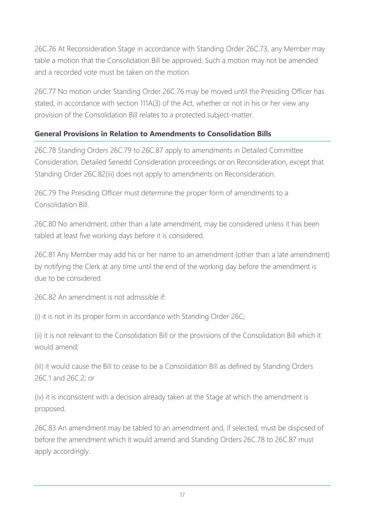26C.76 At Reconsideration Stage in accordance with Standing Order 26C.73, any Member may table a motion that the Consolidation Bill be approved. Such a motion may not be amended and a recorded vote must be taken on the motion.

26C.77 No motion under Standing Order 26C.76 may be moved until the Presiding Officer has stated, in accordance with section 111A(3) of the Act, whether or not in his or her view any provision of the Consolidation Bill relates to a protected subject-matter.

# **General Provisions in Relation to Amendments to Consolidation Bills**

26C.78 Standing Orders 26C.79 to 26C.87 apply to amendments in Detailed Committee Consideration, Detailed Senedd Consideration proceedings or on Reconsideration, except that Standing Order 26C.82(iii) does not apply to amendments on Reconsideration.

26C.79 The Presiding Officer must determine the proper form of amendments to a Consolidation Bill.

26C.80 No amendment, other than a late amendment, may be considered unless it has been tabled at least five working days before it is considered.

26C.81 Any Member may add his or her name to an amendment (other than a late amendment) by notifying the Clerk at any time until the end of the working day before the amendment is due to be considered.

26C.82 An amendment is not admissible if:

(i) it is not in its proper form in accordance with Standing Order 26C;

(ii) it is not relevant to the Consolidation Bill or the provisions of the Consolidation Bill which it would amend;

(iii) it would cause the Bill to cease to be a Consolidation Bill as defined by Standing Orders 26C.1 and 26C.2; or

(iv) it is inconsistent with a decision already taken at the Stage at which the amendment is proposed.

26C.83 An amendment may be tabled to an amendment and, if selected, must be disposed of before the amendment which it would amend and Standing Orders 26C.78 to 26C.87 must apply accordingly.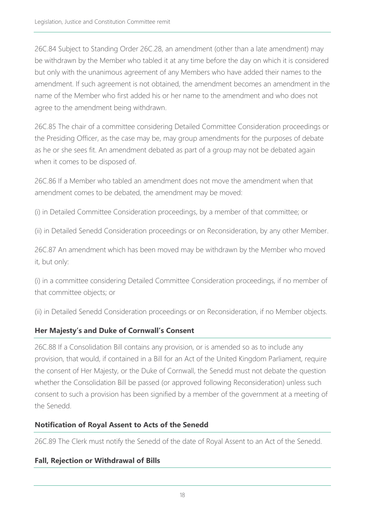26C.84 Subject to Standing Order 26C.28, an amendment (other than a late amendment) may be withdrawn by the Member who tabled it at any time before the day on which it is considered but only with the unanimous agreement of any Members who have added their names to the amendment. If such agreement is not obtained, the amendment becomes an amendment in the name of the Member who first added his or her name to the amendment and who does not agree to the amendment being withdrawn.

26C.85 The chair of a committee considering Detailed Committee Consideration proceedings or the Presiding Officer, as the case may be, may group amendments for the purposes of debate as he or she sees fit. An amendment debated as part of a group may not be debated again when it comes to be disposed of.

26C.86 If a Member who tabled an amendment does not move the amendment when that amendment comes to be debated, the amendment may be moved:

(i) in Detailed Committee Consideration proceedings, by a member of that committee; or

(ii) in Detailed Senedd Consideration proceedings or on Reconsideration, by any other Member.

26C.87 An amendment which has been moved may be withdrawn by the Member who moved it, but only:

(i) in a committee considering Detailed Committee Consideration proceedings, if no member of that committee objects; or

(ii) in Detailed Senedd Consideration proceedings or on Reconsideration, if no Member objects.

# **Her Majesty's and Duke of Cornwall's Consent**

26C.88 If a Consolidation Bill contains any provision, or is amended so as to include any provision, that would, if contained in a Bill for an Act of the United Kingdom Parliament, require the consent of Her Majesty, or the Duke of Cornwall, the Senedd must not debate the question whether the Consolidation Bill be passed (or approved following Reconsideration) unless such consent to such a provision has been signified by a member of the government at a meeting of the Senedd.

## **Notification of Royal Assent to Acts of the Senedd**

26C.89 The Clerk must notify the Senedd of the date of Royal Assent to an Act of the Senedd.

# **Fall, Rejection or Withdrawal of Bills**